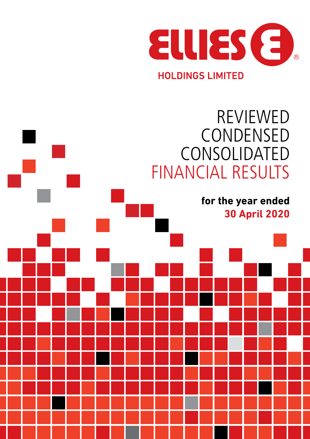

# **for the year ended 30 April 2020** REVIEWED CONDENSED CONSOLIDATED FINANCIAL RESULTS

**REVIEWED CONDENSED** 

**FINANCIAL RESULTS**

**CONSOLIDATED**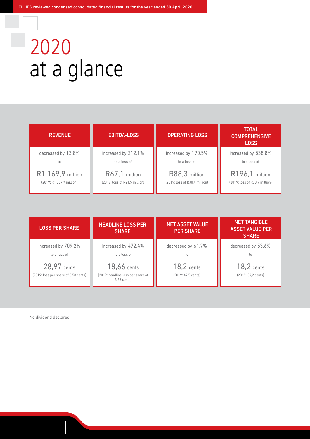# 2020 at a glance

| <b>REVENUE</b>           | <b>EBITDA-LOSS</b>            | <b>OPERATING LOSS</b>         | <b>TOTAL</b><br><b>COMPREHENSIVE</b><br><b>LOSS</b> |
|--------------------------|-------------------------------|-------------------------------|-----------------------------------------------------|
| decreased by $13.8\%$    | increased by 212,1%           | increased by 190,5%           | increased by 538,8%                                 |
| to                       | to a loss of                  | to a loss of                  | to a loss of                                        |
| R1 169,9 million         | R67,1 million                 | R88,3 million                 | R196,1 million                                      |
| (2019: R1 357.7 million) | (2019: loss of R21.5 million) | (2019: loss of R30.4 million) | (2019: loss of R30.7 million)                       |

| <b>LOSS PER SHARE</b>                               | <b>HEADLINE LOSS PER</b><br><b>SHARE</b>                        | <b>NET ASSET VALUE</b><br><b>PER SHARE</b> | <b>NET TANGIBLE</b><br><b>ASSET VALUE PER</b><br><b>SHARE</b> |
|-----------------------------------------------------|-----------------------------------------------------------------|--------------------------------------------|---------------------------------------------------------------|
| increased by 709,2%<br>to a loss of                 | increased by 472,4%<br>to a loss of                             | decreased by 61,7%<br>to                   | decreased by 53,6%<br>to                                      |
| 28,97 cents<br>(2019: loss per share of 3,58 cents) | 18,66 cents<br>(2019: headline loss per share of<br>3.26 cents) | 18,2 cents<br>(2019: 47,5 cents)           | $18,2$ cents<br>(2019: 39.2 cents)                            |

No dividend declared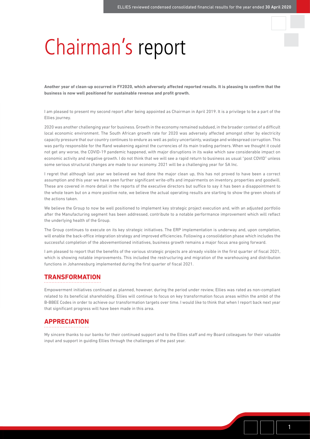# Chairman's report

**Another year of clean-up occurred in FY2020, which adversely affected reported results. It is pleasing to confirm that the business is now well positioned for sustainable revenue and profit growth.**

I am pleased to present my second report after being appointed as Chairman in April 2019. It is a privilege to be a part of the Ellies journey.

2020 was another challenging year for business. Growth in the economy remained subdued, in the broader context of a difficult local economic environment. The South African growth rate for 2020 was adversely affected amongst other by electricity capacity pressure that our country continues to endure as well as policy uncertainty, wastage and widespread corruption. This was partly responsible for the Rand weakening against the currencies of its main trading partners. When we thought it could not get any worse, the COVID-19 pandemic happened, with major disruptions in its wake which saw considerable impact on economic activity and negative growth. I do not think that we will see a rapid return to business as usual "post COVID" unless some serious structural changes are made to our economy. 2021 will be a challenging year for SA Inc.

I regret that although last year we believed we had done the major clean up, this has not proved to have been a correct assumption and this year we have seen further significant write-offs and impairments on inventory, properties and goodwill. These are covered in more detail in the reports of the executive directors but suffice to say it has been a disappointment to the whole team but on a more positive note, we believe the actual operating results are starting to show the green shoots of the actions taken.

We believe the Group to now be well positioned to implement key strategic project execution and, with an adjusted portfolio after the Manufacturing segment has been addressed, contribute to a notable performance improvement which will reflect the underlying health of the Group.

The Group continues to execute on its key strategic initiatives. The ERP implementation is underway and, upon completion, will enable the back-office integration strategy and improved efficiencies. Following a consolidation phase which includes the successful completion of the abovementioned initiatives, business growth remains a major focus area going forward.

I am pleased to report that the benefits of the various strategic projects are already visible in the first quarter of fiscal 2021, which is showing notable improvements. This included the restructuring and migration of the warehousing and distribution functions in Johannesburg implemented during the first quarter of fiscal 2021.

### **TRANSFORMATION**

Empowerment initiatives continued as planned, however, during the period under review, Ellies was rated as non-compliant related to its beneficial shareholding. Ellies will continue to focus on key transformation focus areas within the ambit of the B-BBEE Codes in order to achieve our transformation targets over time. I would like to think that when I report back next year that significant progress will have been made in this area.

# **APPRECIATION**

My sincere thanks to our banks for their continued support and to the Ellies staff and my Board colleagues for their valuable input and support in guiding Ellies through the challenges of the past year.

1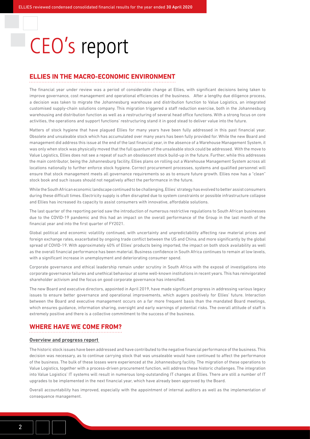# CEO's report

### **ELLIES IN THE MACRO-ECONOMIC ENVIRONMENT**

The financial year under review was a period of considerable change at Ellies, with significant decisions being taken to improve governance, cost management and operational efficiencies of the business. After a lengthy due diligence process, a decision was taken to migrate the Johannesburg warehouse and distribution function to Value Logistics, an integrated customised supply-chain solutions company. This migration triggered a staff reduction exercise, both in the Johannesburg warehousing and distribution function as well as a restructuring of several head office functions. With a strong focus on core activities, the operations and support functions' restructuring stand it in good stead to deliver value into the future.

Matters of stock hygiene that have plagued Ellies for many years have been fully addressed in this past financial year. Obsolete and unsaleable stock which has accumulated over many years has been fully provided for. While the new Board and management did address this issue at the end of the last financial year, in the absence of a Warehouse Management System, it was only when stock was physically moved that the full quantum of the unsaleable stock could be addressed. With the move to Value Logistics, Ellies does not see a repeat of such an obsolescent stock build-up in the future. Further, while this addresses the main contributor, being the Johannesburg facility, Ellies plans on rolling out a Warehouse Management System across all locations nationally to further enforce stock hygiene. Correct procurement processes, systems and qualified personnel will ensure that stock management meets all governance requirements so as to ensure future growth. Ellies now has a "clean" stock book and such issues should not negatively affect the performance in the future.

While the South African economic landscape continued to be challenging, Ellies' strategy has evolved to better assist consumers during these difficult times. Electricity supply is often disrupted due to system constraints or possible infrastructure collapse and Ellies has increased its capacity to assist consumers with innovative, affordable solutions.

The last quarter of the reporting period saw the introduction of numerous restrictive regulations to South African businesses due to the COVID-19 pandemic and this had an impact on the overall performance of the Group in the last month of the financial year and into the first quarter of FY2021.

Global political and economic volatility continued, with uncertainty and unpredictability affecting raw material prices and foreign exchange rates, exacerbated by ongoing trade conflict between the US and China, and more significantly by the global spread of COVID-19. With approximately 40% of Ellies' products being imported, the impact on both stock availability as well as the overall financial performance has been material. Business confidence in South Africa continues to remain at low levels, with a significant increase in unemployment and deteriorating consumer spend.

Corporate governance and ethical leadership remain under scrutiny in South Africa with the exposé of investigations into corporate governance failures and unethical behaviour at some well-known institutions in recent years. This has reinvigorated shareholder activism and the focus on good corporate governance has intensified.

The new Board and executive directors, appointed in April 2019, have made significant progress in addressing various legacy issues to ensure better governance and operational improvements, which augers positively for Ellies' future. Interaction between the Board and executive management occurs on a far more frequent basis than the mandated Board meetings, which ensures guidance, information sharing, oversight and early warnings of potential risks. The overall attitude of staff is extremely positive and there is a collective commitment to the success of the business.

### **WHERE HAVE WE COME FROM?**

### **Overview and progress report**

The historic stock issues have been addressed and have contributed to the negative financial performance of the business. This decision was necessary, as to continue carrying stock that was unsaleable would have continued to affect the performance of the business. The bulk of these losses were experienced at the Johannesburg facility. The migration of these operations to Value Logistics, together with a process-driven procurement function, will address these historic challenges. The integration into Value Logistics' IT systems will result in numerous long-outstanding IT changes at Ellies. There are still a number of IT upgrades to be implemented in the next financial year, which have already been approved by the Board.

Overall accountability has improved, especially with the appointment of internal auditors as well as the implementation of consequence management.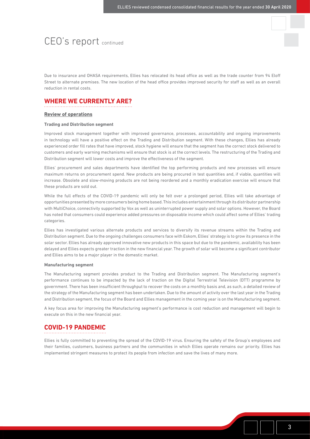# CEO's report continued

Due to insurance and OHASA requirements, Ellies has relocated its head office as well as the trade counter from 94 Eloff Street to alternate premises. The new location of the head office provides improved security for staff as well as an overall reduction in rental costs.

### **WHERE WE CURRENTLY ARE?**

### **Review of operations**

#### **Trading and Distribution segment**

Improved stock management together with improved governance, processes, accountability and ongoing improvements in technology will have a positive effect on the Trading and Distribution segment. With these changes, Ellies has already experienced order fill rates that have improved, stock hygiene will ensure that the segment has the correct stock delivered to customers and early warning mechanisms will ensure that stock is at the correct levels. The restructuring of the Trading and Distribution segment will lower costs and improve the effectiveness of the segment.

Ellies' procurement and sales departments have identified the top performing products and new processes will ensure maximum returns on procurement spend. New products are being procured in test quantities and, if viable, quantities will increase. Obsolete and slow-moving products are not being reordered and a monthly eradication exercise will ensure that these products are sold out.

While the full effects of the COVID-19 pandemic will only be felt over a prolonged period, Ellies will take advantage of opportunities presented by more consumers being home based. This includes entertainment through its distributor partnership with MultiChoice, connectivity supported by Vox as well as uninterrupted power supply and solar options. However, the Board has noted that consumers could experience added pressures on disposable income which could affect some of Ellies' trading categories.

Ellies has investigated various alternate products and services to diversify its revenue streams within the Trading and Distribution segment. Due to the ongoing challenges consumers face with Eskom, Ellies' strategy is to grow its presence in the solar sector. Ellies has already approved innovative new products in this space but due to the pandemic, availability has been delayed and Ellies expects greater traction in the new financial year. The growth of solar will become a significant contributor and Ellies aims to be a major player in the domestic market.

### **Manufacturing segment**

The Manufacturing segment provides product to the Trading and Distribution segment. The Manufacturing segment's performance continues to be impacted by the lack of traction on the Digital Terrestrial Television (DTT) programme by government. There has been insufficient throughput to recover the costs on a monthly basis and, as such, a detailed review of the strategy of the Manufacturing segment has been undertaken. Due to the amount of activity over the last year in the Trading and Distribution segment, the focus of the Board and Ellies management in the coming year is on the Manufacturing segment.

A key focus area for improving the Manufacturing segment's performance is cost reduction and management will begin to execute on this in the new financial year.

### **COVID-19 PANDEMIC**

Ellies is fully committed to preventing the spread of the COVID-19 virus. Ensuring the safety of the Group's employees and their families, customers, business partners and the communities in which Ellies operate remains our priority. Ellies has implemented stringent measures to protect its people from infection and save the lives of many more.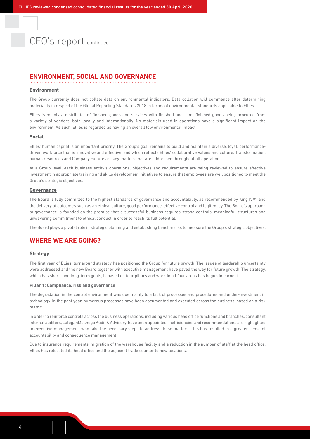# CEO's report continued

### **ENVIRONMENT, SOCIAL AND GOVERNANCE**

#### **Environment**

The Group currently does not collate data on environmental indicators. Data collation will commence after determining materiality in respect of the Global Reporting Standards 2018 in terms of environmental standards applicable to Ellies.

Ellies is mainly a distributor of finished goods and services with finished and semi-finished goods being procured from a variety of vendors, both locally and internationally. No materials used in operations have a significant impact on the environment. As such, Ellies is regarded as having an overall low environmental impact.

#### **Social**

Ellies' human capital is an important priority. The Group's goal remains to build and maintain a diverse, loyal, performancedriven workforce that is innovative and effective, and which reflects Ellies' collaborative values and culture. Transformation, human resources and Company culture are key matters that are addressed throughout all operations.

At a Group level, each business entity's operational objectives and requirements are being reviewed to ensure effective investment in appropriate training and skills development initiatives to ensure that employees are well positioned to meet the Group's strategic objectives.

### **Governance**

The Board is fully committed to the highest standards of governance and accountability, as recommended by King IV™, and the delivery of outcomes such as an ethical culture, good performance, effective control and legitimacy. The Board's approach to governance is founded on the premise that a successful business requires strong controls, meaningful structures and unwavering commitment to ethical conduct in order to reach its full potential.

The Board plays a pivotal role in strategic planning and establishing benchmarks to measure the Group's strategic objectives.

### **WHERE WE ARE GOING?**

### **Strategy**

The first year of Ellies' turnaround strategy has positioned the Group for future growth. The issues of leadership uncertainty were addressed and the new Board together with executive management have paved the way for future growth. The strategy, which has short- and long-term goals, is based on four pillars and work in all four areas has begun in earnest.

#### **Pillar 1: Compliance, risk and governance**

The degradation in the control environment was due mainly to a lack of processes and procedures and under-investment in technology. In the past year, numerous processes have been documented and executed across the business, based on a risk matrix.

In order to reinforce controls across the business operations, including various head office functions and branches, consultant internal auditors, LateganMashego Audit & Advisory, have been appointed. Inefficiencies and recommendations are highlighted to executive management, who take the necessary steps to address these matters. This has resulted in a greater sense of accountability and consequence management.

Due to insurance requirements, migration of the warehouse facility and a reduction in the number of staff at the head office, Ellies has relocated its head office and the adjacent trade counter to new locations.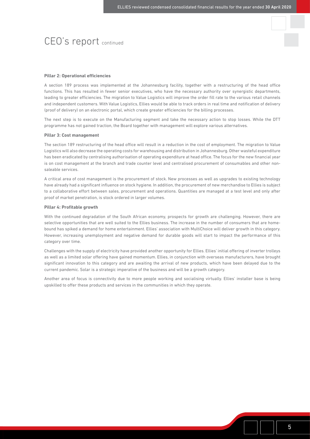# CEO's report continued

#### **Pillar 2: Operational efficiencies**

A section 189 process was implemented at the Johannesburg facility, together with a restructuring of the head office functions. This has resulted in fewer senior executives, who have the necessary authority over synergistic departments, leading to greater efficiencies. The migration to Value Logistics will improve the order fill rate to the various retail channels and independent customers. With Value Logistics, Ellies would be able to track orders in real time and notification of delivery (proof of delivery) on an electronic portal, which create greater efficiencies for the billing processes.

The next step is to execute on the Manufacturing segment and take the necessary action to stop losses. While the DTT programme has not gained traction, the Board together with management will explore various alternatives.

#### **Pillar 3: Cost management**

The section 189 restructuring of the head office will result in a reduction in the cost of employment. The migration to Value Logistics will also decrease the operating costs for warehousing and distribution in Johannesburg. Other wasteful expenditure has been eradicated by centralising authorisation of operating expenditure at head office. The focus for the new financial year is on cost management at the branch and trade counter level and centralised procurement of consumables and other nonsaleable services.

A critical area of cost management is the procurement of stock. New processes as well as upgrades to existing technology have already had a significant influence on stock hygiene. In addition, the procurement of new merchandise to Ellies is subject to a collaborative effort between sales, procurement and operations. Quantities are managed at a test level and only after proof of market penetration, is stock ordered in larger volumes.

#### **Pillar 4: Profitable growth**

With the continued degradation of the South African economy, prospects for growth are challenging. However, there are selective opportunities that are well suited to the Ellies business. The increase in the number of consumers that are homebound has spiked a demand for home entertainment. Ellies' association with MultiChoice will deliver growth in this category. However, increasing unemployment and negative demand for durable goods will start to impact the performance of this category over time.

Challenges with the supply of electricity have provided another opportunity for Ellies. Ellies' initial offering of inverter trolleys as well as a limited solar offering have gained momentum. Ellies, in conjunction with overseas manufacturers, have brought significant innovation to this category and are awaiting the arrival of new products, which have been delayed due to the current pandemic. Solar is a strategic imperative of the business and will be a growth category.

Another area of focus is connectivity due to more people working and socialising virtually. Ellies' installer base is being upskilled to offer these products and services in the communities in which they operate.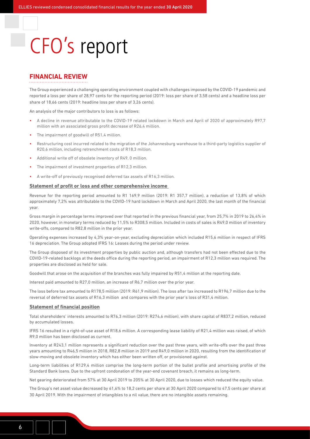# CFO's report

### **FINANCIAL REVIEW**

The Group experienced a challenging operating environment coupled with challenges imposed by the COVID-19 pandemic and reported a loss per share of 28,97 cents for the reporting period (2019: loss per share of 3,58 cents) and a headline loss per share of 18,66 cents (2019: headline loss per share of 3,26 cents).

An analysis of the major contributors to loss is as follows:

- A decline in revenue attributable to the COVID-19 related lockdown in March and April of 2020 of approximately R97,7 million with an associated gross profit decrease of R26,4 million.
- The impairment of goodwill of R51.4 million.
- Restructuring cost incurred related to the migration of the Johannesburg warehouse to a third-party logistics supplier of R20,6 million, including retrenchment costs of R18,3 million.
- Additional write off of obsolete inventory of R49, 0 million.
- The impairment of investment properties of R12,3 million.
- A write-off of previously recognised deferred tax assets of R16,3 million.

### **Statement of profit or loss and other comprehensive income**

Revenue for the reporting period amounted to R1 169,9 million (2019: R1 357,7 million), a reduction of 13,8% of which approximately 7,2% was attributable to the COVID-19 hard lockdown in March and April 2020, the last month of the financial year.

Gross margin in percentage terms improved over that reported in the previous financial year, from 25,7% in 2019 to 26,4% in 2020, however, in monetary terms reduced by 11,5% to R308,5 million. Included in costs of sales is R49,0 million of inventory write-offs, compared to R82,8 million in the prior year.

Operating expenses increased by 4,3% year-on-year, excluding depreciation which included R15,6 million in respect of IFRS 16 depreciation. The Group adopted IFRS 16: Leases during the period under review.

The Group disposed of its investment properties by public auction and, although transfers had not been effected due to the COVID-19-related backlogs at the deeds office during the reporting period, an impairment of R12,3 million was required. The properties are disclosed as held for sale.

Goodwill that arose on the acquisition of the branches was fully impaired by R51,4 million at the reporting date.

Interest paid amounted to R27,0 million, an increase of R6,7 million over the prior year.

The loss before tax amounted to R178,5 million (2019: R61,9 million). The loss after tax increased to R196,7 million due to the reversal of deferred tax assets of R16,3 million and compares with the prior year's loss of R31,4 million.

#### **Statement of financial position**

Total shareholders' interests amounted to R76,3 million (2019: R274,6 million), with share capital of R837,2 million, reduced by accumulated losses.

IFRS 16 resulted in a right-of-use asset of R18,6 million. A corresponding lease liability of R21,4 million was raised, of which R9,0 million has been disclosed as current.

Inventory at R243,1 million represents a significant reduction over the past three years, with write-offs over the past three years amounting to R46,5 million in 2018, R82,8 million in 2019 and R49,0 million in 2020, resulting from the identification of slow-moving and obsolete inventory which has either been written off, or provisioned against.

Long-term liabilities of R129,4 million comprise the long-term portion of the bullet profile and amortising profile of the Standard Bank loans. Due to the upfront condonation of the year-end covenant breach, it remains as long-term.

Net gearing deteriorated from 57% at 30 April 2019 to 205% at 30 April 2020, due to losses which reduced the equity value.

The Group's net asset value decreased by 61,6% to 18,2 cents per share at 30 April 2020 compared to 47,5 cents per share at 30 April 2019. With the impairment of intangibles to a nil value, there are no intangible assets remaining.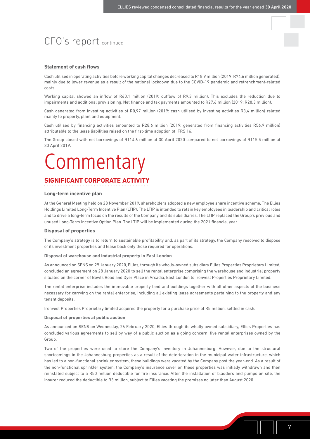# CFO's report continued

### **Statement of cash flows**

Cash utilised in operating activities before working capital changes decreased to R18,9 million (2019: R74,6 million generated), mainly due to lower revenue as a result of the national lockdown due to the COVID-19 pandemic and retrenchment-related costs.

Working capital showed an inflow of R60,1 million (2019: outflow of R9,3 million). This excludes the reduction due to impairments and additional provisioning. Net finance and tax payments amounted to R27,6 million (2019: R28,3 million).

Cash generated from investing activities of R0,97 million (2019: cash utilised by investing activities R3,4 million) related mainly to property, plant and equipment.

Cash utilised by financing activities amounted to R28,6 million (2019: generated from financing activities R56,9 million) attributable to the lease liabilities raised on the first-time adoption of IFRS 16.

The Group closed with net borrowings of R114,6 million at 30 April 2020 compared to net borrowings of R115,5 million at 30 April 2019.

# **Commentary**

### **SIGNIFICANT CORPORATE ACTIVITY**

### **Long-term incentive plan**

At the General Meeting held on 28 November 2019, shareholders adopted a new employee share incentive scheme, The Ellies Holdings Limited Long-Term Incentive Plan (LTIP). The LTIP is intended to retain key employees in leadership and critical roles and to drive a long-term focus on the results of the Company and its subsidiaries. The LTIP replaced the Group's previous and unused Long-Term Incentive Option Plan. The LTIP will be implemented during the 2021 financial year.

### **Disposal of properties**

The Company's strategy is to return to sustainable profitability and, as part of its strategy, the Company resolved to dispose of its investment properties and lease back only those required for operations.

#### **Disposal of warehouse and industrial property in East London**

As announced on SENS on 29 January 2020, Ellies, through its wholly-owned subsidiary Ellies Properties Proprietary Limited, concluded an agreement on 28 January 2020 to sell the rental enterprise comprising the warehouse and industrial property situated on the corner of Bowls Road and Dyer Place in Arcadia, East London to Ironvest Properties Proprietary Limited.

The rental enterprise includes the immovable property land and buildings together with all other aspects of the business necessary for carrying on the rental enterprise, including all existing lease agreements pertaining to the property and any tenant deposits.

Ironvest Properties Proprietary limited acquired the property for a purchase price of R5 million, settled in cash.

### **Disposal of properties at public auction**

As announced on SENS on Wednesday, 26 February 2020, Ellies through its wholly owned subsidiary, Ellies Properties has concluded various agreements to sell by way of a public auction as a going concern, five rental enterprises owned by the Group.

Two of the properties were used to store the Company's inventory in Johannesburg. However, due to the structural shortcomings in the Johannesburg properties as a result of the deterioration in the municipal water infrastructure, which has led to a non-functional sprinkler system, these buildings were vacated by the Company post the year-end. As a result of the non-functional sprinkler system, the Company's insurance cover on these properties was initially withdrawn and then reinstated subject to a R50 million deductible for fire insurance. After the installation of bladders and pumps on site, the insurer reduced the deductible to R3 million, subject to Ellies vacating the premises no later than August 2020.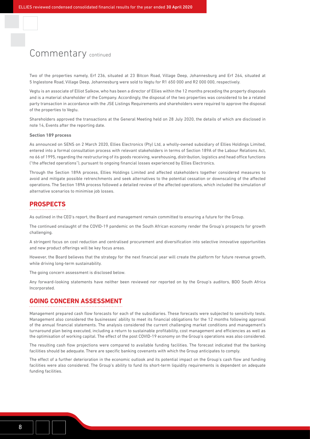# Commentary continued

Two of the properties namely, Erf 236, situated at 23 Bitcon Road, Village Deep, Johannesburg and Erf 264, situated at 5 Inglestone Road, Village Deep, Johannesburg were sold to Vegtu for R1 650 000 and R2 000 000, respectively.

Vegtu is an associate of Elliot Salkow, who has been a director of Ellies within the 12 months preceding the property disposals and is a material shareholder of the Company. Accordingly, the disposal of the two properties was considered to be a related party transaction in accordance with the JSE Listings Requirements and shareholders were required to approve the disposal of the properties to Vegtu.

Shareholders approved the transactions at the General Meeting held on 28 July 2020, the details of which are disclosed in note 14, Events after the reporting date.

### **Section 189 process**

As announced on SENS on 2 March 2020, Ellies Electronics (Pty) Ltd, a wholly-owned subsidiary of Ellies Holdings Limited, entered into a formal consultation process with relevant stakeholders in terms of Section 189A of the Labour Relations Act, no 66 of 1995, regarding the restructuring of its goods receiving, warehousing, distribution, logistics and head office functions ("the affected operations"), pursuant to ongoing financial losses experienced by Ellies Electronics.

Through the Section 189A process, Ellies Holdings Limited and affected stakeholders together considered measures to avoid and mitigate possible retrenchments and seek alternatives to the potential cessation or downscaling of the affected operations. The Section 189A process followed a detailed review of the affected operations, which included the simulation of alternative scenarios to minimise job losses.

### **PROSPECTS**

As outlined in the CEO's report, the Board and management remain committed to ensuring a future for the Group.

The continued onslaught of the COVID-19 pandemic on the South African economy render the Group's prospects for growth challenging.

A stringent focus on cost reduction and centralised procurement and diversification into selective innovative opportunities and new product offerings will be key focus areas.

However, the Board believes that the strategy for the next financial year will create the platform for future revenue growth, while driving long-term sustainability.

The going concern assessment is disclosed below.

Any forward-looking statements have neither been reviewed nor reported on by the Group's auditors, BDO South Africa Incorporated.

### **GOING CONCERN ASSESSMENT**

Management prepared cash flow forecasts for each of the subsidiaries. These forecasts were subjected to sensitivity tests. Management also considered the businesses' ability to meet its financial obligations for the 12 months following approval of the annual financial statements. The analysis considered the current challenging market conditions and management's turnaround plan being executed, including a return to sustainable profitability, cost management and efficiencies as well as the optimisation of working capital. The effect of the post COVID-19 economy on the Group's operations was also considered.

The resulting cash flow projections were compared to available funding facilities. The forecast indicated that the banking facilities should be adequate. There are specific banking covenants with which the Group anticipates to comply.

The effect of a further deterioration in the economic outlook and its potential impact on the Group's cash flow and funding facilities were also considered. The Group's ability to fund its short-term liquidity requirements is dependent on adequate funding facilities.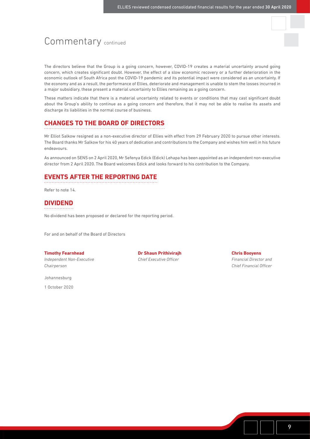# Commentary continued

The directors believe that the Group is a going concern, however, COVID-19 creates a material uncertainty around going concern, which creates significant doubt. However, the effect of a slow economic recovery or a further deterioration in the economic outlook of South Africa post the COVID-19 pandemic and its potential impact were considered as an uncertainty. If the economy and as a result, the performance of Ellies, deteriorate and management is unable to stem the losses incurred in a major subsidiary, these present a material uncertainty to Ellies remaining as a going concern.

These matters indicate that there is a material uncertainty related to events or conditions that may cast significant doubt about the Group's ability to continue as a going concern and therefore, that it may not be able to realise its assets and discharge its liabilities in the normal course of business.

### **CHANGES TO THE BOARD OF DIRECTORS**

Mr Elliot Salkow resigned as a non-executive director of Ellies with effect from 29 February 2020 to pursue other interests. The Board thanks Mr Salkow for his 40 years of dedication and contributions to the Company and wishes him well in his future endeavours.

As announced on SENS on 2 April 2020, Mr Sefenya Edick (Edick) Lehapa has been appointed as an independent non-executive director from 2 April 2020. The Board welcomes Edick and looks forward to his contribution to the Company.

### **EVENTS AFTER THE REPORTING DATE**

Refer to note 14.

### **DIVIDEND**

No dividend has been proposed or declared for the reporting period.

For and on behalf of the Board of Directors

### **Timothy Fearnhead Dr Shaun Prithivirajh Chris Booyens**

*Chairperson Chief Financial Officer*

Johannesburg

1 October 2020

*Independent Non-Executive* **Chief Executive Officer Financial Director and** *Financial Director and*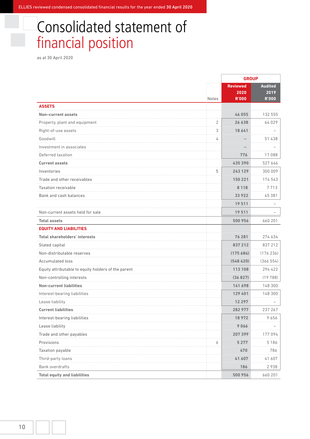ELLIES reviewed condensed consolidated financial results for the year ended 30 April 2020

# Consolidated statement of financial position

as at 30 April 2020

|                                                     |       | <b>GROUP</b>                            |                                        |
|-----------------------------------------------------|-------|-----------------------------------------|----------------------------------------|
|                                                     | Notes | <b>Reviewed</b><br>2020<br><b>R'000</b> | <b>Audited</b><br>2019<br><b>R'000</b> |
| <b>ASSETS</b>                                       |       |                                         |                                        |
| Non-current assets                                  |       | 46 055                                  | 132 555                                |
| Property, plant and equipment                       | 2     | 26 638                                  | 64 029                                 |
| Right-of-use assets                                 | 3     | 18 641                                  |                                        |
| Goodwill                                            | 4     |                                         | 51 438                                 |
| Investment in associates                            |       |                                         |                                        |
| Deferred taxation                                   |       | 776                                     | 17088                                  |
| <b>Current assets</b>                               |       | 435 390                                 | 527 646                                |
| Inventories                                         | 5     | 243 129                                 | 300 009                                |
| Trade and other receivables                         |       | 150 221                                 | 174 543                                |
| <b>Taxation receivable</b>                          |       | 8 1 1 8                                 | 7713                                   |
| Bank and cash balances                              |       | 33 922                                  | 45 381                                 |
|                                                     |       | 19511                                   |                                        |
| Non-current assets held for sale                    |       | 19511                                   |                                        |
| <b>Total assets</b>                                 |       | 500 956                                 | 660 201                                |
| <b>EQUITY AND LIABILITIES</b>                       |       |                                         |                                        |
| <b>Total shareholders' interests</b>                |       | 76 281                                  | 274634                                 |
| Stated capital                                      |       | 837 212                                 | 837 212                                |
| Non-distributable reserves                          |       | (175684)                                | (176 236)                              |
| <b>Accumulated loss</b>                             |       | (548420)                                | (366554)                               |
| Equity attributable to equity holders of the parent |       | 113 108                                 | 294 422                                |
| Non-controlling interests                           |       | (36827)                                 | (19788)                                |
| <b>Non-current liabilities</b>                      |       | 141 698                                 | 148 300                                |
| Interest-bearing liabilities                        |       | 129 401                                 | 148 300                                |
| Lease liability                                     |       | 12 2 9 7                                |                                        |
| <b>Current liabilities</b>                          |       | 282 977                                 | 237 267                                |
| Interest-bearing liabilities                        |       | 18972                                   | 9656                                   |
| Lease liability                                     |       | 9066                                    |                                        |
| Trade and other payables                            |       | .<br>207 399                            | 177 094                                |
| Provisions                                          | 6     | 5 277                                   | 5186                                   |
| Taxation payable                                    |       | 470                                     | 786                                    |
| Third-party loans                                   |       | .<br>41 607                             | 41 607                                 |
| <b>Bank overdrafts</b>                              |       | 186                                     | 2938                                   |
| <b>Total equity and liabilities</b>                 |       | 500 956                                 | 660 201                                |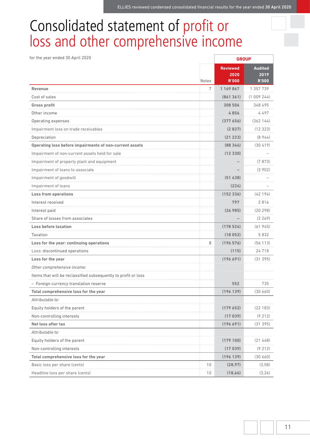# Consolidated statement of profit or loss and other comprehensive income

| for the year ended 30 April 2020                               |       | <b>GROUP</b>                            |                                        |  |
|----------------------------------------------------------------|-------|-----------------------------------------|----------------------------------------|--|
|                                                                | Notes | <b>Reviewed</b><br>2020<br><b>R'000</b> | <b>Audited</b><br>2019<br><b>R'000</b> |  |
| Revenue                                                        | 7     | 1 169 867                               | 1 357 739                              |  |
| Cost of sales                                                  |       | (861361)                                | (1009244)                              |  |
| <b>Gross profit</b>                                            |       | 308 506                                 | 348 495                                |  |
| Other income                                                   |       | 4856                                    | 4497                                   |  |
| Operating expenses                                             |       | (377656)                                | (362144)                               |  |
| Impairment loss on trade receivables                           |       | (2827)                                  | (12323)                                |  |
| Depreciation                                                   |       | (21 223)                                | (8944)                                 |  |
| Operating loss before impairments of non-current assets        |       | (88344)                                 | (30419)                                |  |
| Impairment of non-current assets held for sale                 |       | (12 330)                                |                                        |  |
| Impairment of property plant and equipment                     |       |                                         | (7873)                                 |  |
| Impairment of loans to associate                               |       |                                         | (3902)                                 |  |
| Impairment of goodwill                                         |       | (51 438)                                |                                        |  |
| Impairment of loans                                            |       | (224)                                   |                                        |  |
| <b>Loss from operations</b>                                    |       | (152336)                                | (42194)                                |  |
| Interest received                                              |       | 797                                     | 2816                                   |  |
| Interest paid                                                  |       | (26 985)                                | (20 298)                               |  |
| Share of losses from associates                                |       |                                         | (2269)                                 |  |
| <b>Loss before taxation</b>                                    |       | (178524)                                | (61945)                                |  |
| Taxation                                                       |       | (18052)                                 | 5832                                   |  |
| Loss for the year: continuing operations                       | 8     | (196576)                                | (56113)                                |  |
| Loss: discontinued operations                                  |       | (115)                                   | 24718                                  |  |
| Loss for the year                                              |       | (196 691)                               | (31395)                                |  |
| Other comprehensive income:                                    |       |                                         |                                        |  |
| Items that will be reclassified subsequently to profit or loss |       |                                         |                                        |  |
| - Foreign currency translation reserve                         |       | 552                                     | 735                                    |  |
| Total comprehensive loss for the year                          |       | (196 139)                               | (30660)                                |  |
| Attributable to:                                               |       |                                         |                                        |  |
| Equity holders of the parent                                   |       | (179 652)                               | (22183)                                |  |
| Non-controlling interests                                      |       | (17039)                                 | (9212)                                 |  |
| Net loss after tax                                             |       | (196691)                                | (31395)                                |  |
| Attributable to:                                               |       |                                         |                                        |  |
| Equity holders of the parent                                   |       | (179 100)                               | (21448)                                |  |
| Non-controlling interests                                      |       | (17039)                                 | (9212)                                 |  |
| Total comprehensive loss for the year                          |       | (196 139)                               | (30660)                                |  |
| Basic loss per share (cents)                                   | 10    | (28, 97)                                | (3,58)                                 |  |
| Headline loss per share (cents)                                | 10    | (18, 66)                                | (3,26)                                 |  |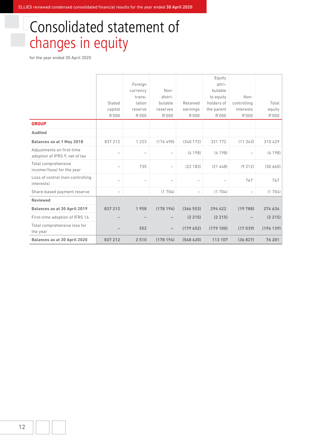# Consolidated statement of changes in equity

|                                                             |                          |                          |           |                   | Equity     |             |           |
|-------------------------------------------------------------|--------------------------|--------------------------|-----------|-------------------|------------|-------------|-----------|
|                                                             |                          | Foreign                  |           |                   | attri-     |             |           |
|                                                             |                          | currency                 | Non-      |                   | butable    |             |           |
|                                                             |                          | trans-                   | distri-   |                   | to equity  | Non-        |           |
|                                                             | Stated                   | lation                   | butable   | Retained          | holders of | controlling | Total     |
|                                                             | capital                  | reserve                  | reserves  | earnings          | the parent | interests   | equity    |
|                                                             | R'000                    | R'000                    | R'000     | R'000             | R'000      | R'000       | R'000     |
| <b>GROUP</b>                                                |                          |                          |           |                   |            |             |           |
| <b>Audited</b>                                              |                          |                          |           |                   |            |             |           |
| Balances as at 1 May 2018                                   | 837 212                  | 1 2 2 3                  | (176490)  | (340172)          | 321 772    | (11343)     | 310 429   |
| Adjustments on first-time<br>adoption of IFRS 9, net of tax | $\overline{\phantom{0}}$ |                          |           | (4198)            | (4198)     |             | (4198)    |
| Total comprehensive<br>income/(loss) for the year           | $\overline{\phantom{a}}$ | 735                      |           | (22183)           | (21448)    | (9212)      | (30, 660) |
| Loss of control (non-controlling<br>interests)              | $\overline{\phantom{0}}$ | $\overline{\phantom{m}}$ |           |                   |            | 767         | 767       |
| Share-based payment reserve                                 | $\qquad \qquad -$        |                          | (1704)    | $\qquad \qquad -$ | (1704)     |             | (1704)    |
| <b>Reviewed</b>                                             |                          |                          |           |                   |            |             |           |
| <b>Balances as at 30 April 2019</b>                         |                          | 958                      | (178 194) | (366553)          | 294 422    |             | 274 634   |
| First-time adoption of IFRS 16                              |                          |                          |           | (2 215)           | (2 215)    |             | (2 215)   |
| Total comprehensive loss for<br>the year                    |                          | 552                      |           | (179652)          | (179100)   | (17039)     | (196139)  |
| <b>Balances as at 30 April 2020</b>                         | 837 212                  | 2510                     | (178194)  | (548420)          | 113 107    | (36827)     | 76 281    |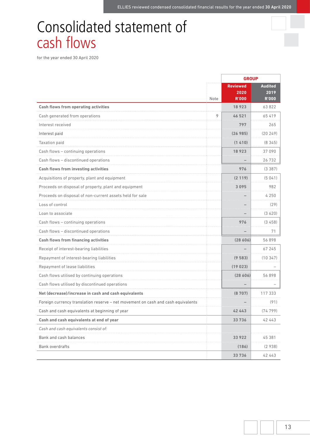# Consolidated statement of cash flows

|                                                                                  |      | <b>GROUP</b>                            |                                        |
|----------------------------------------------------------------------------------|------|-----------------------------------------|----------------------------------------|
|                                                                                  | Note | <b>Reviewed</b><br>2020<br><b>R'000</b> | <b>Audited</b><br>2019<br><b>R'000</b> |
| <b>Cash flows from operating activities</b>                                      |      | 18923                                   | 63822                                  |
| Cash generated from operations                                                   | 9    | 46 521                                  | 65 419                                 |
| Interest received                                                                |      | 797                                     | 265                                    |
| Interest paid                                                                    |      | (26985)                                 | (20249)                                |
| Taxation paid                                                                    |      | (1410)                                  | (8345)                                 |
| Cash flows - continuing operations                                               |      | 18923                                   | 37 090                                 |
| Cash flows - discontinued operations                                             |      |                                         | 26732                                  |
| <b>Cash flows from investing activities</b>                                      |      | 976                                     | (3387)                                 |
| Acquisitions of property, plant and equipment                                    |      | (2119)                                  | (5041)                                 |
| Proceeds on disposal of property, plant and equipment                            |      | 3095                                    | 982                                    |
| Proceeds on disposal of non-current assets held for sale                         |      |                                         | 4 2 5 0                                |
| Loss of control                                                                  |      |                                         | (29)                                   |
| Loan to associate                                                                |      |                                         | (3620)                                 |
| Cash flows - continuing operations                                               |      | 976                                     | (3458)                                 |
| Cash flows - discontinued operations                                             |      |                                         | 71                                     |
| <b>Cash flows from financing activities</b>                                      |      | (28606)                                 | 56 898                                 |
| Receipt of interest-bearing liabilities                                          |      |                                         | 67 245                                 |
| Repayment of interest-bearing liabilities                                        |      | (9583)                                  | (10347)                                |
| Repayment of lease liabilities                                                   |      | (19023)                                 |                                        |
| Cash flows utilised by continuing operations                                     |      | (28606)                                 | 56898                                  |
| Cash flows utilised by discontinued operations                                   |      |                                         |                                        |
| Net (decrease)/increase in cash and cash equivalents                             |      | (8707)                                  | 117 333                                |
| Foreign currency translation reserve - net movement on cash and cash equivalents |      |                                         | (91)                                   |
| Cash and cash equivalents at beginning of year                                   |      | 42 443                                  | (74799)                                |
| Cash and cash equivalents at end of year                                         |      | 33 736                                  | 42 443                                 |
| Cash and cash equivalents consist of:                                            |      |                                         |                                        |
| Bank and cash balances                                                           |      | 33 922                                  | 45 381                                 |
| <b>Bank overdrafts</b>                                                           |      | (186)                                   | (2938)                                 |
|                                                                                  |      | 33 7 36                                 | 42 443                                 |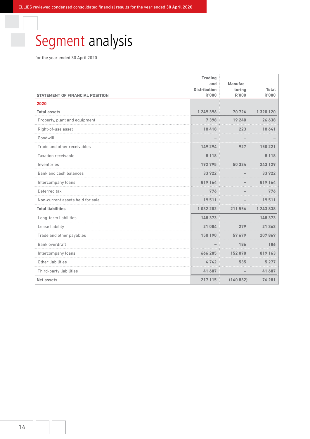# Segment analysis

| <b>STATEMENT OF FINANCIAL POSITION</b> | <b>Trading</b><br>and<br><b>Distribution</b><br><b>R'000</b> | Manufac-<br>turing<br><b>R'000</b> | Total<br><b>R'000</b> |
|----------------------------------------|--------------------------------------------------------------|------------------------------------|-----------------------|
| 2020                                   |                                                              |                                    |                       |
| <b>Total assets</b>                    | 1 249 396                                                    | 70724                              | 1 320 120             |
| Property, plant and equipment          | 7398                                                         | 19 240                             | 26 638                |
| Right-of-use asset                     | 18418                                                        | 223                                | 18 641                |
| Goodwill                               |                                                              |                                    |                       |
| Trade and other receivables            | 149 294                                                      | 927                                | 150 221               |
| <b>Taxation receivable</b>             | 18                                                           |                                    | 8 1 1 8               |
| Inventories                            | 192795                                                       | 50 334                             | 243 129               |
| Bank and cash balances                 | 33922                                                        |                                    | 33 922                |
| Intercompany loans                     | 819 164                                                      |                                    | 819 164               |
| Deferred tax                           | 776                                                          |                                    | 776                   |
| Non-current assets held for sale       | 19511                                                        |                                    | 19511                 |
| <b>Total liabilities</b>               | 1032282                                                      | 211 556                            | 1 243 838             |
| Long-term liabilities                  | 148 373                                                      |                                    | 148 373               |
| Lease liability                        | 21 084                                                       | 279                                | 21 363                |
| Trade and other payables               | 150 190                                                      | 57679                              | 207869                |
| Bank overdraft                         |                                                              | 186                                | 186                   |
| Intercompany loans                     | 666 285                                                      | 152878                             | 819 163               |
| Other liabilities                      | 4742                                                         | 535                                | 5 2 7 7               |
| Third-party liabilities                | 41 607                                                       |                                    | 41 607                |
| <b>Net assets</b>                      | 217 115                                                      | (140832)                           | 76 281                |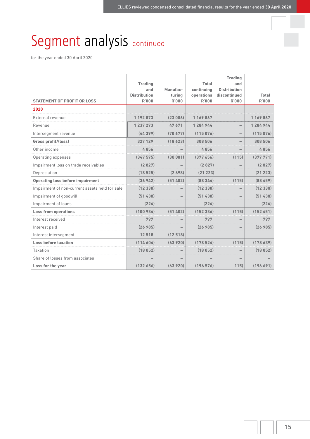# Segment analysis continued

|                                                | <b>Trading</b>               |              | Total               | <b>Trading</b><br>and |              |
|------------------------------------------------|------------------------------|--------------|---------------------|-----------------------|--------------|
|                                                | and                          | Manufac-     | continuing          | <b>Distribution</b>   |              |
|                                                | <b>Distribution</b><br>R'000 | turing       | operations<br>R'000 | discontinued          | Total        |
| <b>STATEMENT OF PROFIT OR LOSS</b>             |                              | <b>R'000</b> |                     | <b>R'000</b>          | <b>R'000</b> |
| 2020                                           |                              |              |                     |                       |              |
| External revenue                               | 1 192 873                    | (23006)      | 1 169 867           |                       | 1169867      |
| Revenue                                        | 1 237 273                    | 47671        | 1 284 944           |                       | 1 284 944    |
| Intersegment revenue                           | (44399)                      | (70677)      | (115076)            |                       | (115076)     |
| Gross profit/(loss)                            | 327 129                      | (18623)      | 308 506             |                       | 308 506      |
| Other income                                   | 4856                         |              | 4 856               |                       | 4856         |
| Operating expenses                             |                              | 081          | 7656                | (115)                 | 7771         |
| Impairment loss on trade receivables           | (2827)                       |              | (2827)              |                       | (2827)       |
| Depreciation                                   | (18525)                      | (2698)       | (21 223)            |                       | (21 223)     |
| <b>Operating loss before impairment</b>        | (36942)                      | (51 402)     | (88344)             | (115)                 | (88459)      |
| Impairment of non-current assets held for sale | (12 330)                     |              | (12, 330)           |                       | (12330)      |
| Impairment of goodwill                         | (51 438)                     |              | (51 438)            |                       | (51438)      |
| Impairment of loans                            | (224)                        |              | (224)               |                       | (224)        |
| <b>Loss from operations</b>                    | (100934)                     | (51402)      | (152, 336)          | (115)                 | (152451)     |
| Interest received                              | 797                          |              | 797                 |                       | 797          |
| Interest paid                                  | (26 985)                     |              | (26 985)            |                       | (26985)      |
| Interest intersegment                          | 12518                        | (12518)      |                     |                       |              |
| Loss before taxation                           | (114604)                     | (63920)      | (178 524)           | (115)                 | (178639)     |
| Taxation                                       |                              |              | 052                 |                       | 052)<br>8    |
| Share of losses from associates                |                              |              |                     |                       |              |
| Loss for the year                              | (132656)                     | (63920)      | (196576)            | 115)                  | (196691)     |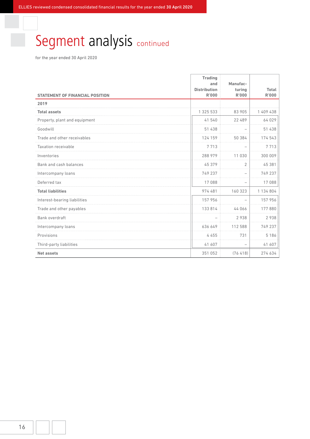# Segment analysis continued

|                                        | <b>Trading</b><br>and               | Manufac-                 |                       |
|----------------------------------------|-------------------------------------|--------------------------|-----------------------|
| <b>STATEMENT OF FINANCIAL POSITION</b> | <b>Distribution</b><br><b>R'000</b> | turing<br><b>R'000</b>   | Total<br><b>R'000</b> |
| 2019                                   |                                     |                          |                       |
| <b>Total assets</b>                    | 1 325 533                           | 83 905                   | 1 409 438             |
| Property, plant and equipment          | 41 540                              | 22 489                   | 64029                 |
| Goodwill                               | 51 438                              |                          | 51 438                |
| Trade and other receivables            | 124 159                             | 50 384                   | 174 543               |
| <b>Taxation receivable</b>             | 7713                                |                          | 7713                  |
| Inventories                            | 288 979                             | 11 030                   | 300 009               |
| Bank and cash balances                 | 45 379                              | $\overline{2}$           | 45 381                |
| Intercompany loans                     | 749 237                             | $\overline{\phantom{0}}$ | 749 237               |
| Deferred tax                           | 17088                               |                          | 17088                 |
| <b>Total liabilities</b>               | 974 481                             | 160 323                  | 1 134 804             |
| Interest-bearing liabilities           | 157 956                             |                          | 157 956               |
| Trade and other payables               | 133 814                             | 44066                    | 177880                |
| Bank overdraft                         |                                     | 2938                     | 2938                  |
| Intercompany loans                     | 636 649                             | 112 588                  | 749 237               |
| Provisions                             | 4455                                | 731                      | 5186                  |
| Third-party liabilities                | 41 607                              |                          | 41 607                |
| <b>Net assets</b>                      | 351 052                             | (76, 418)                | 274 634               |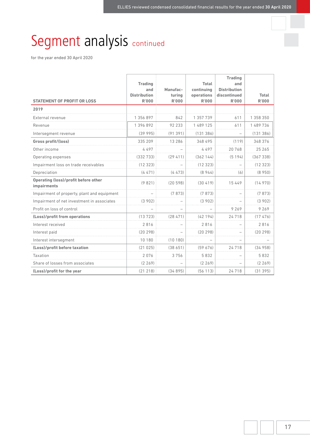# Segment analysis continued

|                                                            | <b>Trading</b><br>and               | Manufac-                 | Total<br>continuing | <b>Trading</b><br>and<br><b>Distribution</b> |                              |
|------------------------------------------------------------|-------------------------------------|--------------------------|---------------------|----------------------------------------------|------------------------------|
| <b>STATEMENT OF PROFIT OR LOSS</b>                         | <b>Distribution</b><br><b>R'000</b> | turina<br><b>R'000</b>   | operations<br>R'000 | discontinued<br><b>R'000</b>                 | <b>Total</b><br><b>R'000</b> |
| 2019                                                       |                                     |                          |                     |                                              |                              |
| External revenue                                           | 1 356 897                           | 842                      | 1 357 739           | 611                                          | 1 358 350                    |
| Revenue                                                    | 1 396 892                           | 92 233                   | 1 489 125           | 611                                          | 1489736                      |
| Intersegment revenue                                       | (39995)                             | (91391)                  | (131386)            | $\overline{\phantom{0}}$                     | (131386)                     |
| Gross profit/(loss)                                        | 335 209                             | 13 2 8 6                 | 348 495             | (119)                                        | 348 376                      |
| Other income                                               | 4497                                |                          | 4497                | 20768                                        | 25 265                       |
| Operating expenses                                         | (332733)                            | (29, 411)                | (362144)            | (5194)                                       | (367338)                     |
| Impairment loss on trade receivables                       | (12323)                             |                          | (12323)             |                                              | (12323)                      |
| Depreciation                                               | (4471)                              | (4473)                   | (8944)              | (6)                                          | (8950)                       |
| <b>Operating (loss)/profit before other</b><br>impairments | (9821)                              | (20598)                  | (30419)             | 15 4 4 9                                     | (14970)                      |
| Impairment of property, plant and equipment                |                                     | (7873)                   | (7873)              | $\overline{\phantom{a}}$                     | (7873)                       |
| Impairment of net investment in associates                 | (3902)                              |                          | (3902)              |                                              | (3902)                       |
| Profit on loss of control                                  |                                     | $\overline{\phantom{0}}$ |                     | 9269                                         | 9269                         |
| (Loss)/profit from operations                              | (13723)                             | (28471)                  | (42194)             | 24718                                        | (17476)                      |
| Interest received                                          | 2816                                |                          | 2816                |                                              | 2816                         |
| Interest paid                                              | (20298)                             |                          | (20298)             |                                              | (20298)                      |
| Interest intersegment                                      | 10 180                              | (10180)                  |                     |                                              |                              |
| (Loss)/profit before taxation                              | (21025)                             | (38651)                  | (59676)             | 24718                                        | (34958)                      |
| Taxation                                                   | 2076                                | 3756                     | 5832                |                                              | 5832                         |
| Share of losses from associates                            | (2269)                              |                          | (2269)              |                                              | (2269)                       |
| (Loss)/profit for the year                                 | (21218)                             | (34895)                  | (56113)             | 24718                                        | (31395)                      |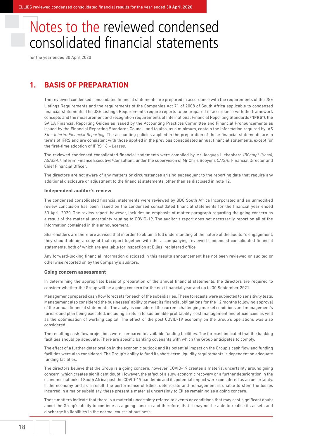for the year ended 30 April 2020

## **1. BASIS OF PREPARATION**

 The reviewed condensed consolidated financial statements are prepared in accordance with the requirements of the JSE Listings Requirements and the requirements of the Companies Act 71 of 2008 of South Africa applicable to condensed financial statements. The JSE Listings Requirements require reports to be prepared in accordance with the framework concepts and the measurement and recognition requirements of International Financial Reporting Standards ("**IFRS**"), the SAICA Financial Reporting Guides as issued by the Accounting Practices Committee and Financial Pronouncements as issued by the Financial Reporting Standards Council, and to also, as a minimum, contain the information required by IAS 34 – *Interim Financial Reporting*. The accounting policies applied in the preparation of these financial statements are in terms of IFRS and are consistent with those applied in the previous consolidated annual financial statements, except for the first-time adoption of IFRS 16 – *Leases*.

 The reviewed condensed consolidated financial statements were compiled by Mr Jacques Liebenberg *(BCompt (Hons), AGA(SA))*, Interim Finance Executive/Consultant, under the supervision of Mr Chris Booyens *CA(SA)*, Financial Director and Chief Financial Officer.

 The directors are not aware of any matters or circumstances arising subsequent to the reporting date that require any additional disclosure or adjustment to the financial statements, other than as disclosed in note 12.

### **Independent auditor's review**

 The condensed consolidated financial statements were reviewed by BDO South Africa Incorporated and an unmodified review conclusion has been issued on the condensed consolidated financial statements for the financial year ended 30 April 2020. The review report, however, includes an emphasis of matter paragraph regarding the going concern as a result of the material uncertainty relating to COVID-19. The auditor's report does not necessarily report on all of the information contained in this announcement.

 Shareholders are therefore advised that in order to obtain a full understanding of the nature of the auditor's engagement, they should obtain a copy of that report together with the accompanying reviewed condensed consolidated financial statements, both of which are available for inspection at Ellies' registered office.

 Any forward-looking financial information disclosed in this results announcement has not been reviewed or audited or otherwise reported on by the Company's auditors.

### **Going concern assessment**

 In determining the appropriate basis of preparation of the annual financial statements, the directors are required to consider whether the Group will be a going concern for the next financial year and up to 30 September 2021.

 Management prepared cash flow forecasts for each of the subsidiaries. These forecasts were subjected to sensitivity tests. Management also considered the businesses' ability to meet its financial obligations for the 12 months following approval of the annual financial statements. The analysis considered the current challenging market conditions and management's turnaround plan being executed, including a return to sustainable profitability, cost management and efficiencies as well as the optimisation of working capital. The effect of the post COVID-19 economy on the Group's operations was also considered.

 The resulting cash flow projections were compared to available funding facilities. The forecast indicated that the banking facilities should be adequate. There are specific banking covenants with which the Group anticipates to comply.

 The effect of a further deterioration in the economic outlook and its potential impact on the Group's cash flow and funding facilities were also considered. The Group's ability to fund its short-term liquidity requirements is dependent on adequate funding facilities.

 The directors believe that the Group is a going concern, however, COVID-19 creates a material uncertainty around going concern, which creates significant doubt. However, the effect of a slow economic recovery or a further deterioration in the economic outlook of South Africa post the COVID-19 pandemic and its potential impact were considered as an uncertainty. If the economy and as a result, the performance of Ellies, deteriorate and management is unable to stem the losses incurred in a major subsidiary, these present a material uncertainty to Ellies remaining as a going concern.

 These matters indicate that there is a material uncertainty related to events or conditions that may cast significant doubt about the Group's ability to continue as a going concern and therefore, that it may not be able to realise its assets and discharge its liabilities in the normal course of business.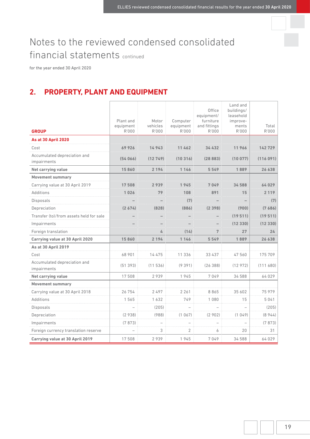for the year ended 30 April 2020

# **2. PROPERTY, PLANT AND EQUIPMENT**

|                                             |                        |                   |                       | Office                    | Land and<br>buildings/ |          |
|---------------------------------------------|------------------------|-------------------|-----------------------|---------------------------|------------------------|----------|
|                                             |                        |                   |                       | equipment/                | leasehold              |          |
|                                             | Plant and<br>equipment | Motor<br>vehicles | Computer<br>equipment | furniture<br>and fittings | improve-<br>ments      | Total    |
| <b>GROUP</b>                                | R'000                  | R'000             | R'000                 | R'000                     | R'000                  | R'000    |
| <b>As at 30 April 2020</b>                  |                        |                   |                       |                           |                        |          |
| Cost                                        | 69 926                 | 14 943            | 11 462                | 34 432                    | 11966                  | 142 729  |
| Accumulated depreciation and<br>impairments | (54066)                | (12749)           | (10316)               | (28883)                   | (10077)                | (116091) |
| Net carrying value                          | 15860                  | 2 1 9 4           | 1 1 4 6               | 5549                      | 1889                   | 26 638   |
| <b>Movement summary</b>                     |                        |                   |                       |                           |                        | .        |
| Carrying value at 30 April 2019             |                        |                   |                       |                           | 34588                  | 64 029   |
| Additions                                   | 1 026                  | 79                | 108                   | 891                       | 15                     | 2 1 1 9  |
| Disposals                                   |                        |                   |                       |                           |                        | (7)      |
| Depreciation                                |                        |                   | (886)                 |                           | (900)                  | (7 686)  |
| Transfer (to)/from assets held for sale     |                        |                   |                       |                           | (19 511)               | (19 511) |
| Impairments                                 |                        |                   |                       |                           | (12330)                | (12330)  |
| Foreign translation                         |                        | 4                 | (14)                  | 7                         | 27                     | 24       |
| Carrying value at 30 April 2020             | 15860                  | 2 1 9 4           | 1 1 4 6               | 5549                      | 1889                   | 26 638   |
| As at 30 April 2019                         |                        |                   |                       |                           |                        |          |
| Cost                                        | 68 901                 | 14475             | 11 336                | 33 437                    | 47 560                 | 175 709  |
| Accumulated depreciation and<br>impairments | (51393)                | (11536)           | (9391)                | (26388)                   | (12972)                | (111680) |
| Net carrying value                          | 17508                  | 2939              | 1945                  | 7049                      | 34 588                 | 64 029   |
| <b>Movement summary</b>                     |                        |                   |                       |                           |                        |          |
| Carrying value at 30 April 2018             | 26 754                 | 2497              | 2 2 6 1               | 8865                      | 35 602                 | 75 979   |
| Additions                                   | 1565                   | 1632              | 749                   | 1 0 8 0                   | 15                     | 5041     |
| Disposals                                   |                        | (205)             |                       |                           |                        | (205)    |
| Depreciation                                | (2938)                 | (988)             | (1067)                | (2902)                    | (1049)                 | (8944)   |
| Impairments                                 | (7873)                 |                   |                       |                           |                        | (7873)   |
| Foreign currency translation reserve        |                        | 3                 | $\overline{2}$        | 6                         | 20                     | 31       |
| Carrying value at 30 April 2019             | 17 508                 | 2939              | 1945                  | 7049                      | 34 588                 | 64 029   |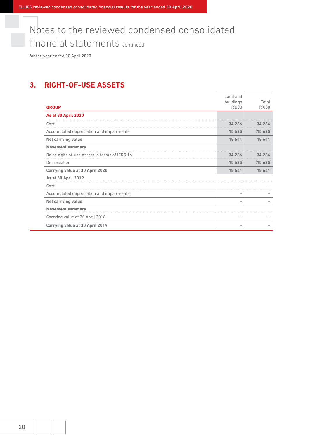for the year ended 30 April 2020

# **3. RIGHT-OF-USE ASSETS**

|                                               | Land and           |                |
|-----------------------------------------------|--------------------|----------------|
| <b>GROUP</b>                                  | buildings<br>R'000 | Total<br>R'000 |
| <b>As at 30 April 2020</b>                    |                    |                |
| Cost                                          | 34 266             | 34 266         |
| Accumulated depreciation and impairments      | (15625)            | (15625)        |
| Net carrying value                            | 18 641             | 18 641         |
| <b>Movement summary</b>                       |                    |                |
| Raise right-of-use assets in terms of IFRS 16 | 34 266             | 34 266         |
| Depreciation                                  | (15625)            | (15625)        |
| Carrying value at 30 April 2020               | 18 641             | 18 641         |
| <b>As at 30 April 2019</b>                    |                    |                |
| Cost                                          |                    |                |
| Accumulated depreciation and impairments      |                    |                |
| <b>Net carrying value</b>                     |                    |                |
| <b>Movement summary</b>                       |                    |                |
| Carrying value at 30 April 2018               | -                  |                |
| Carrying value at 30 April 2019               |                    |                |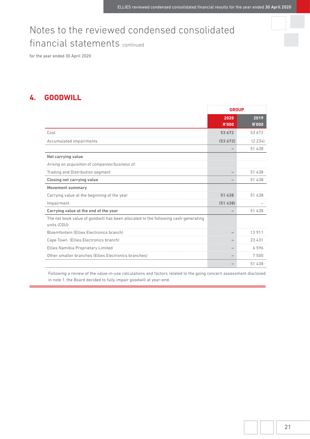for the year ended 30 April 2020

# **4. GOODWILL**

|                                                                                                    | <b>GROUP</b>         |                      |
|----------------------------------------------------------------------------------------------------|----------------------|----------------------|
|                                                                                                    | 2020<br><b>R'000</b> | 2019<br><b>R'000</b> |
| Cost                                                                                               | 53 672               | 53 672               |
| Accumulated impairments                                                                            | (53672)              | (2 234)              |
|                                                                                                    |                      | 51 438               |
| <b>Net carrying value</b>                                                                          |                      |                      |
| Arising on acquisition of companies/business of:                                                   |                      |                      |
| Trading and Distribution segment                                                                   |                      | 51 438               |
| <b>Closing net carrying value</b>                                                                  |                      | 51 438               |
| <b>Movement summary</b>                                                                            |                      |                      |
| Carrying value at the beginning of the year                                                        | 51 438               | 51 438               |
| Impairment                                                                                         | (51438)              |                      |
| Carrying value at the end of the year                                                              |                      | 51 438               |
| The net book value of goodwill has been allocated to the following cash-generating<br>units (CGU): |                      |                      |
| Bloemfontein (Ellies Electronics branch)                                                           |                      | 13911                |
| Cape Town (Ellies Electronics branch)                                                              |                      | 23 4 31              |
| Ellies Namibia Proprietary Limited                                                                 |                      | 6596                 |
| Other smaller branches (Ellies Electronics branches)                                               |                      | 7500                 |
|                                                                                                    |                      | 51 438               |

 Following a review of the value-in-use calculations and factors related to the going concern assessment disclosed in note 1, the Board decided to fully impair goodwill at year-end.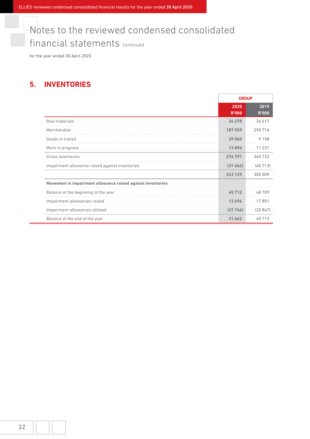for the year ended 30 April 2020

# **5. INVENTORIES**

|                                                             | <b>GROUP</b>         |                      |
|-------------------------------------------------------------|----------------------|----------------------|
|                                                             | 2020<br><b>R'000</b> | 2019<br><b>R'000</b> |
| Raw materials                                               | 34 278               | 34 617               |
| Merchandise                                                 | 187 559              | 290 716              |
| Goods in transit                                            | 39 060               | 9 1 5 8              |
| Work in progress                                            | 13894                | 11 231               |
| Gross inventories                                           | 274 791              | 345722               |
| Impairment allowance raised against inventories             | (31662)              | (45713)              |
|                                                             | 243 129              | 300 009              |
| Movement in impairment allowance raised against inventories |                      |                      |
| Balance at the beginning of the year                        | 45712                | 48709                |
| Impairment allowances raised                                | 13696                | 17851                |
| Impairment allowances utilised                              | (27746)              | (20847)              |
| Balance at the end of the year                              | 31 662               | 45 713               |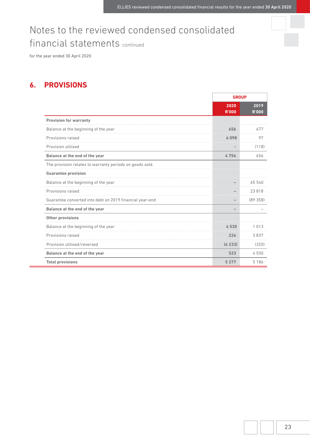for the year ended 30 April 2020

# **6. PROVISIONS**

|                                                          |                      | <b>GROUP</b>         |  |
|----------------------------------------------------------|----------------------|----------------------|--|
|                                                          | 2020<br><b>R'000</b> | 2019<br><b>R'000</b> |  |
| <b>Provision for warranty</b>                            |                      |                      |  |
| Balance at the beginning of the year                     | 656                  | 677                  |  |
| Provisions raised                                        | 4098                 | 97                   |  |
| Provision utilised                                       |                      | (118)                |  |
| Balance at the end of the year                           | 4754                 | 656                  |  |
| The provision relates to warranty periods on goods sold. |                      |                      |  |
| <b>Guarantee provision</b>                               |                      |                      |  |
| Balance at the beginning of the year                     |                      | 65 540               |  |
| <b>Provisions raised</b>                                 |                      | 23 818               |  |
| Guarantee converted into debt on 2019 financial year-end |                      | (89358)              |  |
| Balance at the end of the year                           |                      |                      |  |
| <b>Other provisions</b>                                  |                      |                      |  |
| Balance at the beginning of the year                     | 4530                 | 1013                 |  |
| Provisions raised                                        | 226                  | 3837                 |  |
| Provision utilised/reversed                              | (4233)               | (320)                |  |
| Balance at the end of the year                           | 523                  | 4530                 |  |
| <b>Total provisions</b>                                  | 5 2 7 7              | 5186                 |  |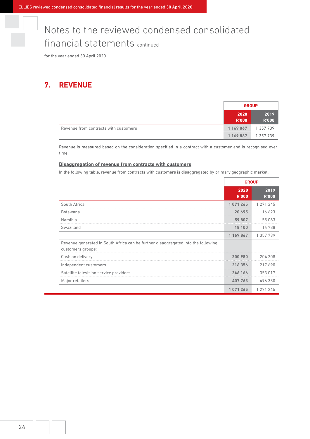for the year ended 30 April 2020

## **7. REVENUE**

|                                       | <b>GROUP</b>         |                      |
|---------------------------------------|----------------------|----------------------|
|                                       | 2020<br><b>R'000</b> | 2019<br><b>R'000</b> |
| Revenue from contracts with customers | 1 169 867            | 1 357 739            |
|                                       | 1 169 867            | 1 357 739            |

 Revenue is measured based on the consideration specified in a contract with a customer and is recognised over time.

### **Disaggregation of revenue from contracts with customers**

In the following table, revenue from contracts with customers is disaggregated by primary geographic market.

|                                                                                                        | <b>GROUP</b>         |                      |
|--------------------------------------------------------------------------------------------------------|----------------------|----------------------|
|                                                                                                        | 2020<br><b>R'000</b> | 2019<br><b>R'000</b> |
| South Africa                                                                                           | 1071265              | 1 271 245            |
| <b>Botswana</b>                                                                                        | 20 695               | 16 623               |
| Namibia                                                                                                | 59807                | 55 083               |
| Swaziland                                                                                              | 18 100               | 14788                |
|                                                                                                        | 1 169 867            | 1 357 739            |
| Revenue generated in South Africa can be further disaggregated into the following<br>customers groups: |                      |                      |
| Cash on delivery                                                                                       | 200 980              | 204 208              |
| Independent customers                                                                                  | 216 356              | 217690               |
| Satellite television service providers                                                                 | 246 166              | 353 017              |
| Major retailers                                                                                        | 407763               | 496 330              |
|                                                                                                        | 1071265              | 1 271 245            |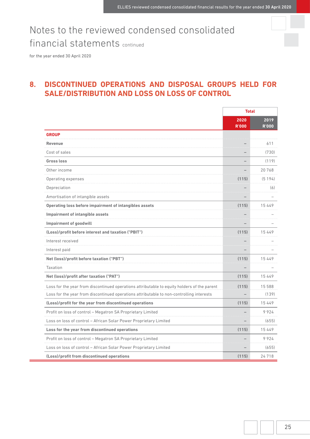for the year ended 30 April 2020

# **8. DISCONTINUED OPERATIONS AND DISPOSAL GROUPS HELD FOR SALE/DISTRIBUTION AND LOSS ON LOSS OF CONTROL**

|                                                                                             | <b>Total</b>         |                      |
|---------------------------------------------------------------------------------------------|----------------------|----------------------|
|                                                                                             | 2020<br><b>R'000</b> | 2019<br><b>R'000</b> |
| <b>GROUP</b>                                                                                |                      |                      |
| <b>Revenue</b>                                                                              |                      | 611                  |
| Cost of sales                                                                               |                      | (730)                |
| <b>Gross loss</b>                                                                           |                      | (119)                |
| Other income                                                                                |                      | 20768                |
| Operating expenses                                                                          | 15)                  | (5194)               |
| Depreciation                                                                                |                      | (6)                  |
| Amortisation of intangible assets                                                           |                      |                      |
| Operating loss before impairment of intangibles assets                                      | (115)                | 15449                |
| <b>Impairment of intangible assets</b>                                                      |                      |                      |
| <b>Impairment of goodwill</b>                                                               |                      |                      |
| (Loss)/profit before interest and taxation ("PBIT")                                         | (115)                | 15 4 4 9             |
| Interest received                                                                           |                      |                      |
| Interest paid                                                                               |                      |                      |
| Net (loss)/profit before taxation ("PBT")                                                   | (115)                | 15449                |
| Taxation                                                                                    |                      |                      |
| Net (loss)/profit after taxation ("PAT")                                                    | (115)                | 15449                |
| Loss for the year from discontinued operations attributable to equity holders of the parent | (115)                | 15 588               |
| Loss for the year from discontinued operations attributable to non-controlling interests    |                      | (139)                |
| (Loss)/profit for the year from discontinued operations                                     | (115)                | 15 4 4 9             |
| Profit on loss of control - Megatron SA Proprietary Limited                                 |                      | 9924                 |
| Loss on loss of control - African Solar Power Proprietary Limited                           |                      | (655)                |
| Loss for the year from discontinued operations                                              | (115)                | 15449                |
| Profit on loss of control - Megatron SA Proprietary Limited                                 |                      | 9924                 |
| Loss on loss of control - African Solar Power Proprietary Limited                           |                      | (655)                |
| (Loss)/profit from discontinued operations                                                  | (115)                | 24718                |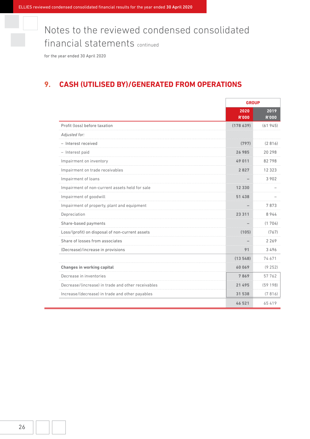for the year ended 30 April 2020

# **9. CASH (UTILISED BY)/GENERATED FROM OPERATIONS**

|                                                    | <b>GROUP</b>         |                      |
|----------------------------------------------------|----------------------|----------------------|
|                                                    | 2020<br><b>R'000</b> | 2019<br><b>R'000</b> |
| Profit (loss) before taxation                      | (178639)             | (61945)              |
| Adjusted for:                                      |                      |                      |
| - Interest received                                | (797)                | (2816)               |
| - Interest paid                                    | 26 985               | 20 298               |
| Impairment on inventory                            | 49 011               | 82798                |
| Impairment on trade receivables                    | 2 827                | 12 3 2 3             |
| Impairment of loans                                |                      | 3 9 0 2              |
| Impairment of non-current assets held for sale     | 12 330               |                      |
| Impairment of goodwill                             | 438                  |                      |
| Impairment of property, plant and equipment        |                      | 7873                 |
| Depreciation                                       |                      | 8944                 |
| Share-based payments                               |                      | (1704)               |
| Loss/(profit) on disposal of non-current assets    | (105)                | (767)                |
| Share of losses from associates                    |                      | 2 2 6 9              |
| (Decrease)/increase in provisions                  | 91                   | 3496                 |
|                                                    | (13548)              | 74671                |
| <b>Changes in working capital</b>                  | 60069                | (9252)               |
| Decrease in inventories                            | 7869                 | 57 762               |
| Decrease/(increase) in trade and other receivables | 21 495               | (59198)              |
| Increase/(decrease) in trade and other payables    | 31 538               | (7816)               |
|                                                    | 46 521               | 65419                |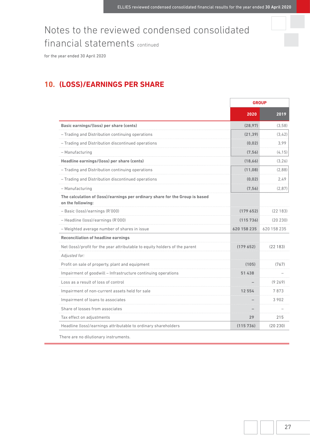for the year ended 30 April 2020

# **10. (LOSS)/EARNINGS PER SHARE**

|                                                                                                   | <b>GROUP</b> |             |
|---------------------------------------------------------------------------------------------------|--------------|-------------|
|                                                                                                   | 2020         | 2019        |
| Basic earnings/(loss) per share (cents)                                                           | (28, 97)     | (3,58)      |
| - Trading and Distribution continuing operations                                                  | (21, 39)     | (3.42)      |
| - Trading and Distribution discontinued operations                                                | (0.02)       | 3.99        |
| - Manufacturing                                                                                   | (7, 56)      | (4, 15)     |
| Headline earnings/(loss) per share (cents)                                                        | (18, 66)     | (3, 26)     |
| - Trading and Distribution continuing operations                                                  | (11,08)      | (2,88)      |
| - Trading and Distribution discontinued operations                                                | (0.02)       | 2,49        |
| - Manufacturing                                                                                   | (7, 56)      | (2, 87)     |
| The calculation of (loss)/earnings per ordinary share for the Group is based<br>on the following: |              |             |
| - Basic (loss)/earnings (R'000)                                                                   | (179652)     | (22183)     |
| - Headline (loss)/earnings (R'000)                                                                | (115 736)    | (20 230)    |
| - Weighted average number of shares in issue                                                      | 620 158 235  | 620 158 235 |
| <b>Reconciliation of headline earnings</b>                                                        |              |             |
| Net (loss)/profit for the year attributable to equity holders of the parent                       | (179652)     | (22183)     |
| Adjusted for:                                                                                     |              |             |
| Profit on sale of property, plant and equipment                                                   | (105)        | (767)       |
| Impairment of goodwill - Infrastructure continuing operations                                     | 51 438       |             |
| Loss as a result of loss of control                                                               |              | (9269)      |
| Impairment of non-current assets held for sale                                                    | 12 554       | 7873        |
| Impairment of loans to associates                                                                 |              | 3 9 0 2     |
| Share of losses from associates                                                                   |              |             |
| Tax effect on adjustments                                                                         | 29           | 215         |
| Headline (loss)/earnings attributable to ordinary shareholders                                    | (115736)     | (20 230)    |

There are no dilutionary instruments.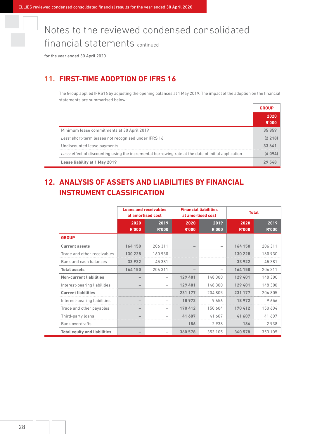for the year ended 30 April 2020

# **11. FIRST-TIME ADOPTION OF IFRS 16**

The Group applied IFRS16 by adjusting the opening balances at 1 May 2019. The impact of the adoption on the financial statements are summarised below:

|                                                                                                     | R'OOO |
|-----------------------------------------------------------------------------------------------------|-------|
| Minimum lease commitments at 30 April 2019                                                          |       |
| Less: short-term leases not recognised under IFRS 16                                                |       |
| Undiscounted lease payments                                                                         |       |
| Less: effect of discounting using the incremental borrowing rate at the date of initial application |       |
| Lease liability at 1 May 2019                                                                       |       |

# **12. ANALYSIS OF ASSETS AND LIABILITIES BY FINANCIAL INSTRUMENT CLASSIFICATION**

|                                     |                      | <b>Loans and receivables</b><br><b>Financial liabilities</b><br>at amortised cost<br>at amortised cost |                      | <b>Total</b>         |                      |                      |  |  |
|-------------------------------------|----------------------|--------------------------------------------------------------------------------------------------------|----------------------|----------------------|----------------------|----------------------|--|--|
|                                     | 2020<br><b>R'000</b> | 2019<br><b>R'000</b>                                                                                   | 2020<br><b>R'000</b> | 2019<br><b>R'000</b> | 2020<br><b>R'000</b> | 2019<br><b>R'000</b> |  |  |
| <b>GROUP</b>                        |                      |                                                                                                        |                      |                      |                      |                      |  |  |
| <b>Current assets</b>               | 164 150              | 206 311                                                                                                |                      |                      | 164 150              | 206 311              |  |  |
| Trade and other receivables         | 130 228              | 160 930                                                                                                |                      |                      | 130 228              | 160 930              |  |  |
| Bank and cash balances              | 33922                | 45 381                                                                                                 |                      |                      | 33 922               | 45 381               |  |  |
| <b>Total assets</b>                 | 164 150              | 206 311                                                                                                |                      |                      | 164 150              | 206 311              |  |  |
| <b>Non-current liabilities</b>      |                      | $\overline{\phantom{a}}$                                                                               | 129 401              | 148 300              | 129 401              | 148 300              |  |  |
| Interest-bearing liabilities        |                      |                                                                                                        | 129 401              | 148 300              | 129 401              | 148 300              |  |  |
| <b>Current liabilities</b>          |                      | $\overline{\phantom{a}}$                                                                               | 231 177              | 204 805              | 231 177              | 204 805              |  |  |
| Interest-bearing liabilities        |                      |                                                                                                        | 18 972               | 9656                 | 18 972               | 9656                 |  |  |
| Trade and other payables            |                      |                                                                                                        | 170412               | 150 604              | 170412               | 150 604              |  |  |
| Third-party loans                   |                      |                                                                                                        | 41 607               | 41 607               | 41 607               | 41 607               |  |  |
| <b>Bank overdrafts</b>              |                      |                                                                                                        | 186                  | 2938                 | 186                  | 2938                 |  |  |
| <b>Total equity and liabilities</b> |                      | $\overline{\phantom{0}}$                                                                               | 360 578              | 353 105              | 360 578              | 353 105              |  |  |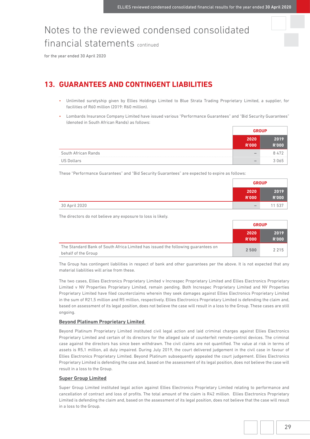for the year ended 30 April 2020

# **13. GUARANTEES AND CONTINGENT LIABILITIES**

- Unlimited suretyship given by Ellies Holdings Limited to Blue Strata Trading Proprietary Limited, a supplier, for facilities of R60 million (2019: R60 million).
- Lombards Insurance Company Limited have issued various "Performance Guarantees" and "Bid Security Guarantees" (denoted in South African Rands) as follows:

|                     | <b>GROUP</b>             |      |
|---------------------|--------------------------|------|
|                     | 2020                     | 2019 |
|                     | <b>R'000</b>             |      |
| South African Rands | $\overline{\phantom{a}}$ |      |
| US Dollars          | $\overline{\phantom{a}}$ |      |

These "Performance Guarantees" and "Bid Security Guarantees" are expected to expire as follows:

|               | <b>GROUP</b>                 |                      |
|---------------|------------------------------|----------------------|
|               | 2020<br><b>R'000</b>         | 2019<br><b>R'000</b> |
| 30 April 2020 | $\qquad \qquad \blacksquare$ | 11 537               |

The directors do not believe any exposure to loss is likely.

|                                                                                                         | <b>GROUP</b>         |                      |
|---------------------------------------------------------------------------------------------------------|----------------------|----------------------|
|                                                                                                         | 2020<br><b>R'000</b> | 2019<br><b>R'000</b> |
| The Standard Bank of South Africa Limited has issued the following quarantees on<br>behalf of the Group | 2 500                | 2 2 1 5              |

 The Group has contingent liabilities in respect of bank and other guarantees per the above. It is not expected that any material liabilities will arise from these.

 The two cases, Ellies Electronics Proprietary Limited v Increspec Proprietary Limited and Ellies Electronics Proprietary Limited v NV Properties Proprietary Limited, remain pending. Both Increspec Proprietary Limited and NV Properties Proprietary Limited have filed counterclaims wherein they seek damages against Ellies Electronics Proprietary Limited in the sum of R21,5 million and R5 million, respectively. Ellies Electronics Proprietary Limited is defending the claim and, based on assessment of its legal position, does not believe the case will result in a loss to the Group. These cases are still ongoing.

### **Beyond Platinum Proprietary Limited**

 Beyond Platinum Proprietary Limited instituted civil legal action and laid criminal charges against Ellies Electronics Proprietary Limited and certain of its directors for the alleged sale of counterfeit remote-control devices. The criminal case against the directors has since been withdrawn. The civil claims are not quantified. The value at risk in terms of assets is R5,1 million, all duly impaired. During July 2019, the court delivered judgement in the civil case in favour of Ellies Electronics Proprietary Limited. Beyond Platinum subsequently appealed the court judgement. Ellies Electronics Proprietary Limited is defending the case and, based on the assessment of its legal position, does not believe the case will result in a loss to the Group.

### **Super Group Limited**

 Super Group Limited instituted legal action against Ellies Electronics Proprietary Limited relating to performance and cancellation of contract and loss of profits. The total amount of the claim is R42 million. Ellies Electronics Proprietary Limited is defending the claim and, based on the assessment of its legal position, does not believe that the case will result in a loss to the Group.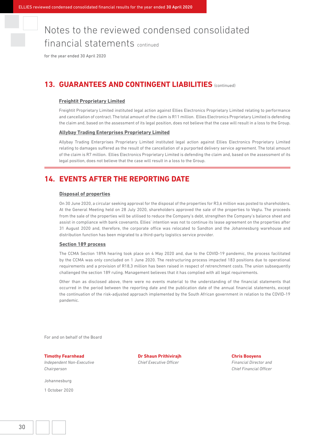for the year ended 30 April 2020

# **13. GUARANTEES AND CONTINGENT LIABILITIES** (continued)

### **Freightit Proprietary Limited**

 Freightit Proprietary Limited instituted legal action against Ellies Electronics Proprietary Limited relating to performance and cancellation of contract. The total amount of the claim is R11 million. Ellies Electronics Proprietary Limited is defending the claim and, based on the assessment of its legal position, does not believe that the case will result in a loss to the Group.

#### **Allybay Trading Enterprises Proprietary Limited**

 Allybay Trading Enterprises Proprietary Limited instituted legal action against Ellies Electronics Proprietary Limited relating to damages suffered as the result of the cancellation of a purported delivery service agreement. The total amount of the claim is R7 million. Ellies Electronics Proprietary Limited is defending the claim and, based on the assessment of its legal position, does not believe that the case will result in a loss to the Group.

### **14. EVENTS AFTER THE REPORTING DATE**

#### **Disposal of properties**

 On 30 June 2020, a circular seeking approval for the disposal of the properties for R3,6 million was posted to shareholders. At the General Meeting held on 28 July 2020, shareholders approved the sale of the properties to Vegtu. The proceeds from the sale of the properties will be utilised to reduce the Company's debt, strengthen the Company's balance sheet and assist in compliance with bank covenants. Ellies' intention was not to continue its lease agreement on the properties after 31 August 2020 and, therefore, the corporate office was relocated to Sandton and the Johannesburg warehouse and distribution function has been migrated to a third-party logistics service provider.

### **Section 189 process**

 The CCMA Section 189A hearing took place on 4 May 2020 and, due to the COVID-19 pandemic, the process facilitated by the CCMA was only concluded on 1 June 2020. The restructuring process impacted 183 positions due to operational requirements and a provision of R18,3 million has been raised in respect of retrenchment costs. The union subsequently challenged the section 189 ruling. Management believes that it has complied with all legal requirements.

 Other than as disclosed above, there were no events material to the understanding of the financial statements that occurred in the period between the reporting date and the publication date of the annual financial statements, except the continuation of the risk-adjusted approach implemented by the South African government in relation to the COVID-19 pandemic.

For and on behalf of the Board

*Independent Non-Executive Chief Executive Officer Financial Director and Chairperson Chief Financial Officer*

Johannesburg

1 October 2020

**Timothy Fearnhead Dr Shaun Prithivirajh Chris Booyens**